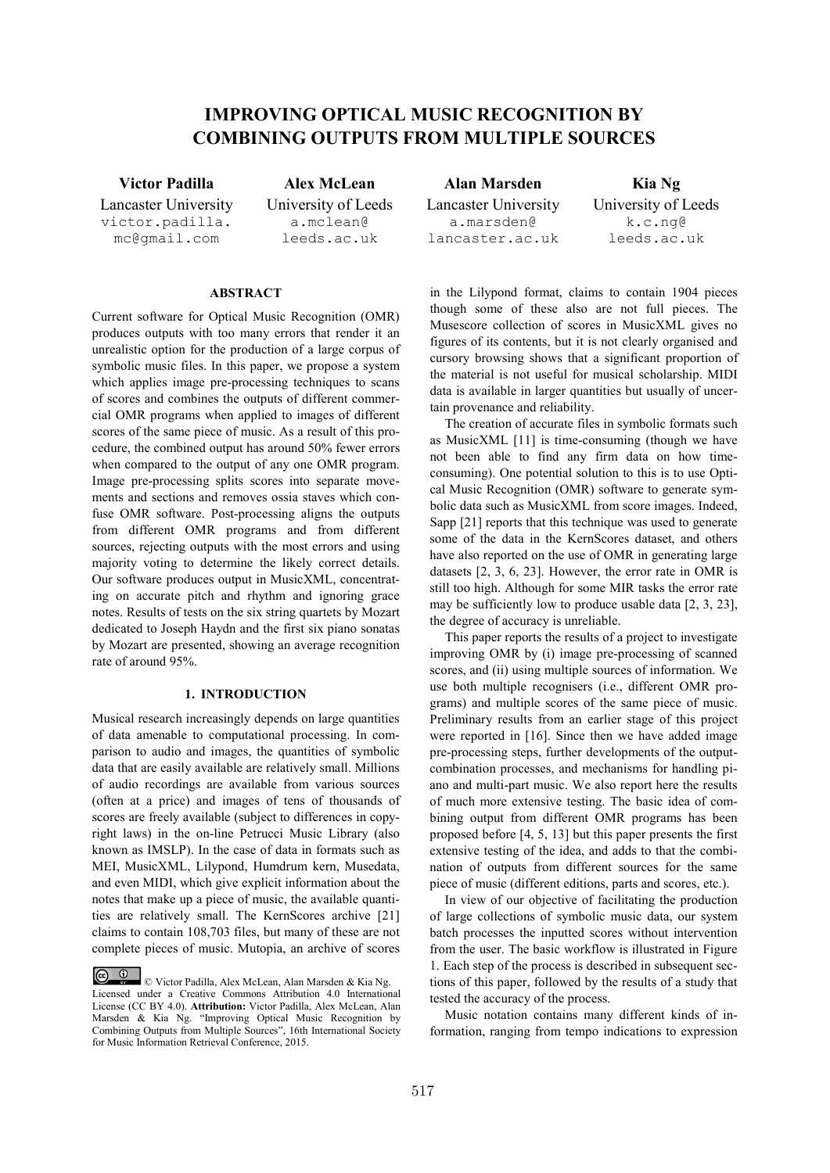# **IMPROVING OPTICAL MUSIC RECOGNITION BY COMBINING OUTPUTS FROM MULTIPLE SOURCES**

Lancaster University victor.padilla. mc@gmail.com

**Victor Padilla Alex McLean Alan Marsden Kia Ng** University of Leeds a.mclean@ leeds.ac.uk

# **ABSTRACT**

Current software for Optical Music Recognition (OMR) produces outputs with too many errors that render it an unrealistic option for the production of a large corpus of symbolic music files. In this paper, we propose a system which applies image pre-processing techniques to scans of scores and combines the outputs of different commercial OMR programs when applied to images of different scores of the same piece of music. As a result of this procedure, the combined output has around 50% fewer errors when compared to the output of any one OMR program. Image pre-processing splits scores into separate movements and sections and removes ossia staves which confuse OMR software. Post-processing aligns the outputs from different OMR programs and from different sources, rejecting outputs with the most errors and using majority voting to determine the likely correct details. Our software produces output in MusicXML, concentrating on accurate pitch and rhythm and ignoring grace notes. Results of tests on the six string quartets by Mozart dedicated to Joseph Haydn and the first six piano sonatas by Mozart are presented, showing an average recognition rate of around 95%.

# **1. INTRODUCTION**

Musical research increasingly depends on large quantities of data amenable to computational processing. In comparison to audio and images, the quantities of symbolic data that are easily available are relatively small. Millions of audio recordings are available from various sources (often at a price) and images of tens of thousands of scores are freely available (subject to differences in copyright laws) in the on-line Petrucci Music Library (also known as IMSLP). In the case of data in formats such as MEI, MusicXML, Lilypond, Humdrum kern, Musedata, and even MIDI, which give explicit information about the notes that make up a piece of music, the available quantities are relatively small. The KernScores archive [21] claims to contain 108,703 files, but many of these are not complete pieces of music. Mutopia, an archive of scores Lancaster University a.marsden@ lancaster.ac.uk

University of Leeds k.c.ng@ leeds.ac.uk

in the Lilypond format, claims to contain 1904 pieces though some of these also are not full pieces. The Musescore collection of scores in MusicXML gives no figures of its contents, but it is not clearly organised and cursory browsing shows that a significant proportion of the material is not useful for musical scholarship. MIDI data is available in larger quantities but usually of uncertain provenance and reliability.

The creation of accurate files in symbolic formats such as MusicXML [11] is time-consuming (though we have not been able to find any firm data on how timeconsuming). One potential solution to this is to use Optical Music Recognition (OMR) software to generate symbolic data such as MusicXML from score images. Indeed, Sapp [21] reports that this technique was used to generate some of the data in the KernScores dataset, and others have also reported on the use of OMR in generating large datasets [2, 3, 6, 23]. However, the error rate in OMR is still too high. Although for some MIR tasks the error rate may be sufficiently low to produce usable data [2, 3, 23], the degree of accuracy is unreliable.

This paper reports the results of a project to investigate improving OMR by (i) image pre-processing of scanned scores, and (ii) using multiple sources of information. We use both multiple recognisers (i.e., different OMR programs) and multiple scores of the same piece of music. Preliminary results from an earlier stage of this project were reported in [16]. Since then we have added image pre-processing steps, further developments of the outputcombination processes, and mechanisms for handling piano and multi-part music. We also report here the results of much more extensive testing. The basic idea of combining output from different OMR programs has been proposed before [4, 5, 13] but this paper presents the first extensive testing of the idea, and adds to that the combination of outputs from different sources for the same piece of music (different editions, parts and scores, etc.).

In view of our objective of facilitating the production of large collections of symbolic music data, our system batch processes the inputted scores without intervention from the user. The basic workflow is illustrated in Figure 1. Each step of the process is described in subsequent sections of this paper, followed by the results of a study that tested the accuracy of the process.

Music notation contains many different kinds of information, ranging from tempo indications to expression

<sup>©</sup> Victor Padilla, Alex McLean, Alan Marsden & Kia Ng. Licensed under a Creative Commons Attribution 4.0 International License (CC BY 4.0). **Attribution:** Victor Padilla, Alex McLean, Alan Marsden & Kia Ng. "Improving Optical Music Recognition by Combining Outputs from Multiple Sources", 16th International Society for Music Information Retrieval Conference, 2015.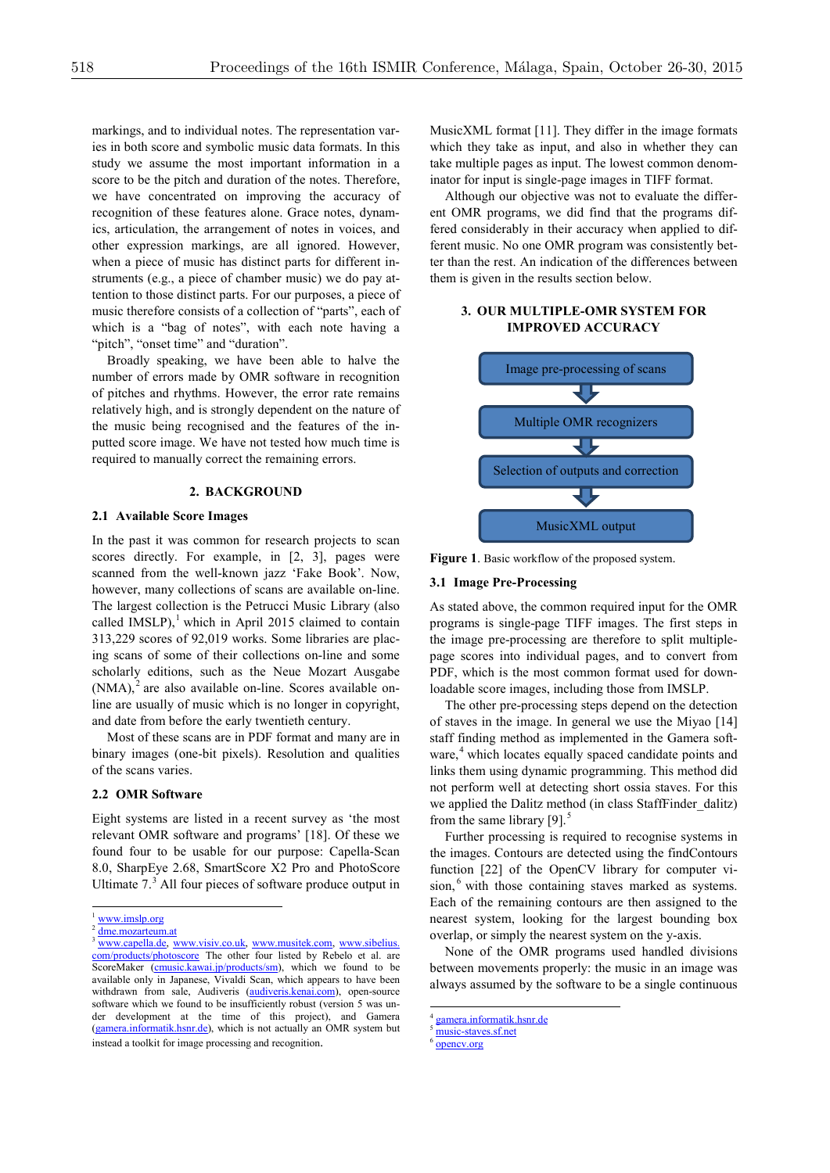markings, and to individual notes. The representation varies in both score and symbolic music data formats. In this study we assume the most important information in a score to be the pitch and duration of the notes. Therefore, we have concentrated on improving the accuracy of recognition of these features alone. Grace notes, dynamics, articulation, the arrangement of notes in voices, and other expression markings, are all ignored. However, when a piece of music has distinct parts for different instruments (e.g., a piece of chamber music) we do pay attention to those distinct parts. For our purposes, a piece of music therefore consists of a collection of "parts", each of which is a "bag of notes", with each note having a "pitch", "onset time" and "duration".

Broadly speaking, we have been able to halve the number of errors made by OMR software in recognition of pitches and rhythms. However, the error rate remains relatively high, and is strongly dependent on the nature of the music being recognised and the features of the inputted score image. We have not tested how much time is required to manually correct the remaining errors.

#### **2. BACKGROUND**

# **2.1 Available Score Images**

In the past it was common for research projects to scan scores directly. For example, in [2, 3], pages were scanned from the well-known jazz 'Fake Book'. Now, however, many collections of scans are available on-line. The largest collection is the Petrucci Music Library (also called IMSLP), $<sup>1</sup>$  which in April 2015 claimed to contain</sup> 313,229 scores of 92,019 works. Some libraries are placing scans of some of their collections on-line and some scholarly editions, such as the Neue Mozart Ausgabe  $(NMA)<sup>2</sup>$  are also available on-line. Scores available online are usually of music which is no longer in copyright, and date from before the early twentieth century.

Most of these scans are in PDF format and many are in binary images (one-bit pixels). Resolution and qualities of the scans varies.

## **2.2 OMR Software**

Eight systems are listed in a recent survey as 'the most relevant OMR software and programs' [18]. Of these we found four to be usable for our purpose: Capella-Scan 8.0, SharpEye 2.68, SmartScore X2 Pro and PhotoScore Ultimate 7. <sup>3</sup> All four pieces of software produce output in MusicXML format [11]. They differ in the image formats which they take as input, and also in whether they can take multiple pages as input. The lowest common denominator for input is single-page images in TIFF format.

Although our objective was not to evaluate the different OMR programs, we did find that the programs differed considerably in their accuracy when applied to different music. No one OMR program was consistently better than the rest. An indication of the differences between them is given in the results section below.

# **3. OUR MULTIPLE-OMR SYSTEM FOR IMPROVED ACCURACY**



**Figure 1**. Basic workflow of the proposed system.

#### **3.1 Image Pre-Processing**

As stated above, the common required input for the OMR programs is single-page TIFF images. The first steps in the image pre-processing are therefore to split multiplepage scores into individual pages, and to convert from PDF, which is the most common format used for downloadable score images, including those from IMSLP.

The other pre-processing steps depend on the detection of staves in the image. In general we use the Miyao [14] staff finding method as implemented in the Gamera software,<sup>4</sup> which locates equally spaced candidate points and links them using dynamic programming. This method did not perform well at detecting short ossia staves. For this we applied the Dalitz method (in class StaffFinder\_dalitz) from the same library  $[9]$ .<sup>5</sup>

Further processing is required to recognise systems in the images. Contours are detected using the findContours function [22] of the OpenCV library for computer vision,<sup>6</sup> with those containing staves marked as systems. Each of the remaining contours are then assigned to the nearest system, looking for the largest bounding box overlap, or simply the nearest system on the y-axis.

None of the OMR programs used handled divisions between movements properly: the music in an image was always assumed by the software to be a single continuous

opency.org

www.imslp.org

dme.mozarteum.at

www.capella.de, www.visiv.co.uk, www.musitek.com, www.sibelius. com/products/photoscore The other four listed by Rebelo et al. are ScoreMaker (cmusic.kawai.jp/products/sm), which we found to be available only in Japanese, Vivaldi Scan, which appears to have been withdrawn from sale, Audiveris (audiveris.kenai.com), open-source software which we found to be insufficiently robust (version 5 was under development at the time of this project), and Gamera (gamera.informatik.hsnr.de), which is not actually an OMR system but instead a toolkit for image processing and recognition.

 <sup>4</sup> gamera.informatik.hsnr.de

music-staves.sf.net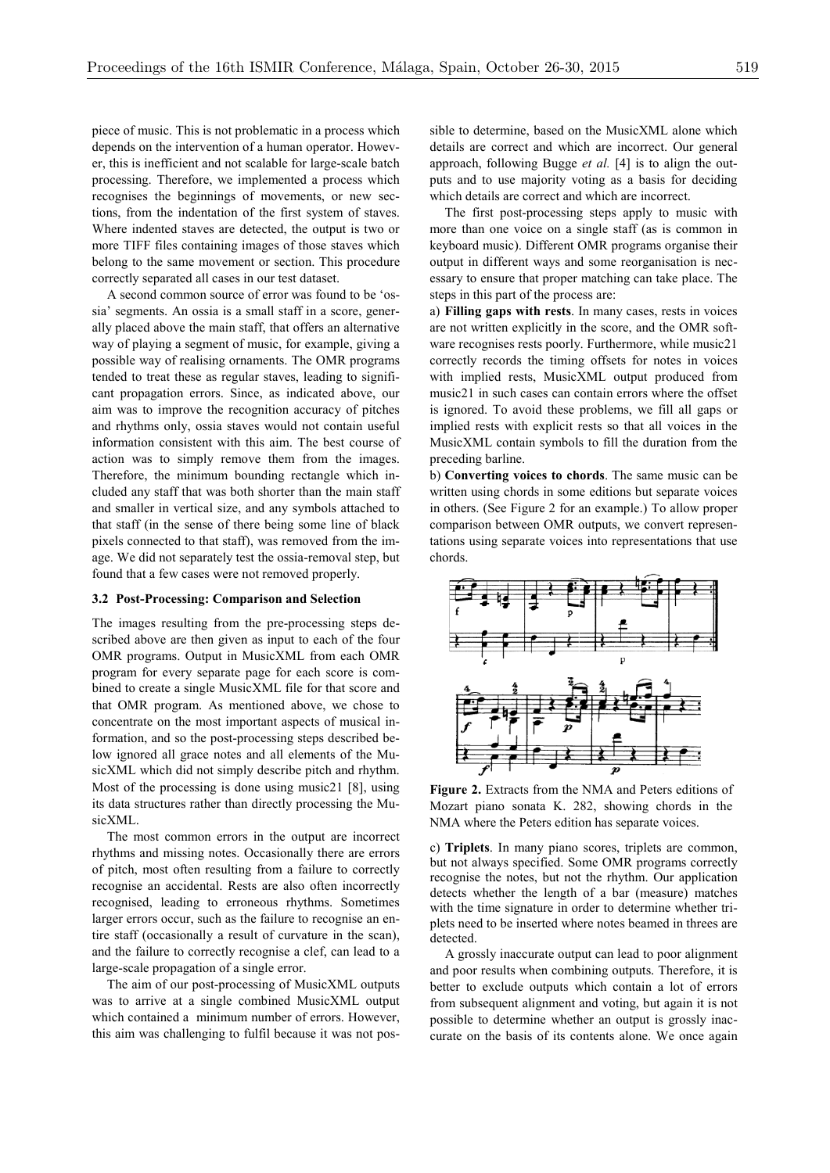piece of music. This is not problematic in a process which depends on the intervention of a human operator. However, this is inefficient and not scalable for large-scale batch processing. Therefore, we implemented a process which recognises the beginnings of movements, or new sections, from the indentation of the first system of staves. Where indented staves are detected, the output is two or more TIFF files containing images of those staves which belong to the same movement or section. This procedure correctly separated all cases in our test dataset.

A second common source of error was found to be 'ossia' segments. An ossia is a small staff in a score, generally placed above the main staff, that offers an alternative way of playing a segment of music, for example, giving a possible way of realising ornaments. The OMR programs tended to treat these as regular staves, leading to significant propagation errors. Since, as indicated above, our aim was to improve the recognition accuracy of pitches and rhythms only, ossia staves would not contain useful information consistent with this aim. The best course of action was to simply remove them from the images. Therefore, the minimum bounding rectangle which included any staff that was both shorter than the main staff and smaller in vertical size, and any symbols attached to that staff (in the sense of there being some line of black pixels connected to that staff), was removed from the image. We did not separately test the ossia-removal step, but found that a few cases were not removed properly.

#### **3.2 Post-Processing: Comparison and Selection**

The images resulting from the pre-processing steps described above are then given as input to each of the four OMR programs. Output in MusicXML from each OMR program for every separate page for each score is combined to create a single MusicXML file for that score and that OMR program. As mentioned above, we chose to concentrate on the most important aspects of musical information, and so the post-processing steps described below ignored all grace notes and all elements of the MusicXML which did not simply describe pitch and rhythm. Most of the processing is done using music21 [8], using its data structures rather than directly processing the MusicXML.

The most common errors in the output are incorrect rhythms and missing notes. Occasionally there are errors of pitch, most often resulting from a failure to correctly recognise an accidental. Rests are also often incorrectly recognised, leading to erroneous rhythms. Sometimes larger errors occur, such as the failure to recognise an entire staff (occasionally a result of curvature in the scan), and the failure to correctly recognise a clef, can lead to a large-scale propagation of a single error.

The aim of our post-processing of MusicXML outputs was to arrive at a single combined MusicXML output which contained a minimum number of errors. However, this aim was challenging to fulfil because it was not possible to determine, based on the MusicXML alone which details are correct and which are incorrect. Our general approach, following Bugge *et al.* [4] is to align the outputs and to use majority voting as a basis for deciding which details are correct and which are incorrect.

The first post-processing steps apply to music with more than one voice on a single staff (as is common in keyboard music). Different OMR programs organise their output in different ways and some reorganisation is necessary to ensure that proper matching can take place. The steps in this part of the process are:

a) **Filling gaps with rests**. In many cases, rests in voices are not written explicitly in the score, and the OMR software recognises rests poorly. Furthermore, while music21 correctly records the timing offsets for notes in voices with implied rests, MusicXML output produced from music21 in such cases can contain errors where the offset is ignored. To avoid these problems, we fill all gaps or implied rests with explicit rests so that all voices in the MusicXML contain symbols to fill the duration from the preceding barline.

b) **Converting voices to chords**. The same music can be written using chords in some editions but separate voices in others. (See Figure 2 for an example.) To allow proper comparison between OMR outputs, we convert representations using separate voices into representations that use chords.



**Figure 2.** Extracts from the NMA and Peters editions of Mozart piano sonata K. 282, showing chords in the NMA where the Peters edition has separate voices.

c) **Triplets**. In many piano scores, triplets are common, but not always specified. Some OMR programs correctly recognise the notes, but not the rhythm. Our application detects whether the length of a bar (measure) matches with the time signature in order to determine whether triplets need to be inserted where notes beamed in threes are detected.

A grossly inaccurate output can lead to poor alignment and poor results when combining outputs. Therefore, it is better to exclude outputs which contain a lot of errors from subsequent alignment and voting, but again it is not possible to determine whether an output is grossly inaccurate on the basis of its contents alone. We once again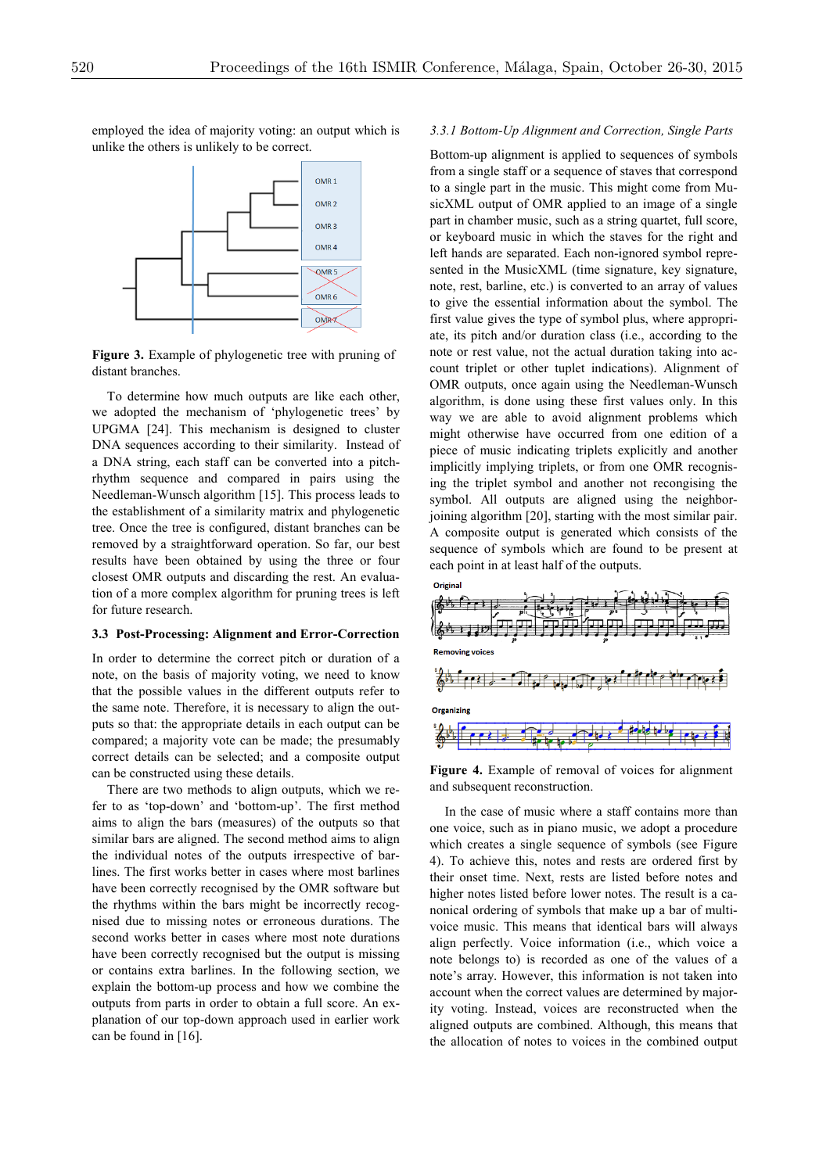

employed the idea of majority voting: an output which is unlike the others is unlikely to be correct.

**Figure 3.** Example of phylogenetic tree with pruning of distant branches.

To determine how much outputs are like each other, we adopted the mechanism of 'phylogenetic trees' by UPGMA [24]. This mechanism is designed to cluster DNA sequences according to their similarity. Instead of a DNA string, each staff can be converted into a pitchrhythm sequence and compared in pairs using the Needleman-Wunsch algorithm [15]. This process leads to the establishment of a similarity matrix and phylogenetic tree. Once the tree is configured, distant branches can be removed by a straightforward operation. So far, our best results have been obtained by using the three or four closest OMR outputs and discarding the rest. An evaluation of a more complex algorithm for pruning trees is left for future research.

## **3.3 Post-Processing: Alignment and Error-Correction**

In order to determine the correct pitch or duration of a note, on the basis of majority voting, we need to know that the possible values in the different outputs refer to the same note. Therefore, it is necessary to align the outputs so that: the appropriate details in each output can be compared; a majority vote can be made; the presumably correct details can be selected; and a composite output can be constructed using these details.

There are two methods to align outputs, which we refer to as 'top-down' and 'bottom-up'. The first method aims to align the bars (measures) of the outputs so that similar bars are aligned. The second method aims to align the individual notes of the outputs irrespective of barlines. The first works better in cases where most barlines have been correctly recognised by the OMR software but the rhythms within the bars might be incorrectly recognised due to missing notes or erroneous durations. The second works better in cases where most note durations have been correctly recognised but the output is missing or contains extra barlines. In the following section, we explain the bottom-up process and how we combine the outputs from parts in order to obtain a full score. An explanation of our top-down approach used in earlier work can be found in [16].

## *3.3.1 Bottom-Up Alignment and Correction, Single Parts*

Bottom-up alignment is applied to sequences of symbols from a single staff or a sequence of staves that correspond to a single part in the music. This might come from MusicXML output of OMR applied to an image of a single part in chamber music, such as a string quartet, full score, or keyboard music in which the staves for the right and left hands are separated. Each non-ignored symbol represented in the MusicXML (time signature, key signature, note, rest, barline, etc.) is converted to an array of values to give the essential information about the symbol. The first value gives the type of symbol plus, where appropriate, its pitch and/or duration class (i.e., according to the note or rest value, not the actual duration taking into account triplet or other tuplet indications). Alignment of OMR outputs, once again using the Needleman-Wunsch algorithm, is done using these first values only. In this way we are able to avoid alignment problems which might otherwise have occurred from one edition of a piece of music indicating triplets explicitly and another implicitly implying triplets, or from one OMR recognising the triplet symbol and another not recongising the symbol. All outputs are aligned using the neighborjoining algorithm [20], starting with the most similar pair. A composite output is generated which consists of the sequence of symbols which are found to be present at each point in at least half of the outputs.



**Figure 4.** Example of removal of voices for alignment and subsequent reconstruction.

In the case of music where a staff contains more than one voice, such as in piano music, we adopt a procedure which creates a single sequence of symbols (see Figure 4). To achieve this, notes and rests are ordered first by their onset time. Next, rests are listed before notes and higher notes listed before lower notes. The result is a canonical ordering of symbols that make up a bar of multivoice music. This means that identical bars will always align perfectly. Voice information (i.e., which voice a note belongs to) is recorded as one of the values of a note's array. However, this information is not taken into account when the correct values are determined by majority voting. Instead, voices are reconstructed when the aligned outputs are combined. Although, this means that the allocation of notes to voices in the combined output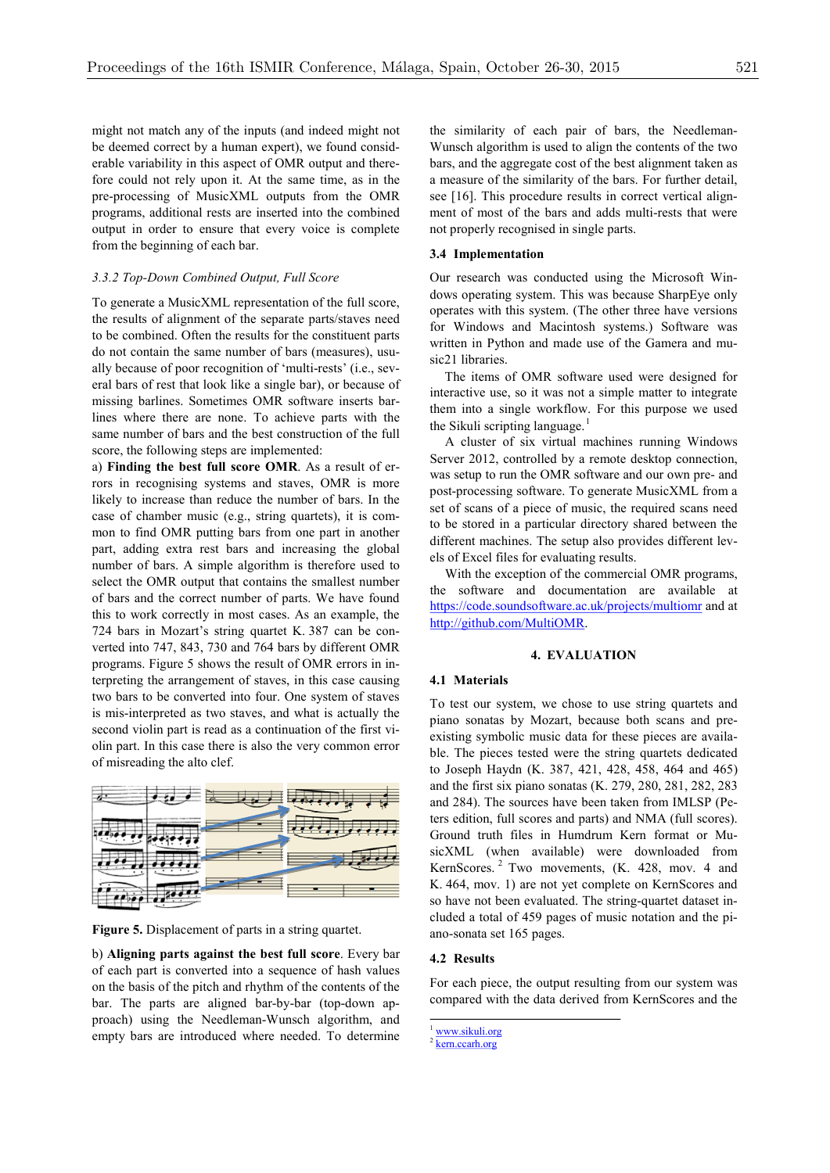might not match any of the inputs (and indeed might not be deemed correct by a human expert), we found considerable variability in this aspect of OMR output and therefore could not rely upon it. At the same time, as in the pre-processing of MusicXML outputs from the OMR programs, additional rests are inserted into the combined output in order to ensure that every voice is complete from the beginning of each bar.

# *3.3.2 Top-Down Combined Output, Full Score*

To generate a MusicXML representation of the full score, the results of alignment of the separate parts/staves need to be combined. Often the results for the constituent parts do not contain the same number of bars (measures), usually because of poor recognition of 'multi-rests' (i.e., several bars of rest that look like a single bar), or because of missing barlines. Sometimes OMR software inserts barlines where there are none. To achieve parts with the same number of bars and the best construction of the full score, the following steps are implemented:

a) **Finding the best full score OMR**. As a result of errors in recognising systems and staves, OMR is more likely to increase than reduce the number of bars. In the case of chamber music (e.g., string quartets), it is common to find OMR putting bars from one part in another part, adding extra rest bars and increasing the global number of bars. A simple algorithm is therefore used to select the OMR output that contains the smallest number of bars and the correct number of parts. We have found this to work correctly in most cases. As an example, the 724 bars in Mozart's string quartet K. 387 can be converted into 747, 843, 730 and 764 bars by different OMR programs. Figure 5 shows the result of OMR errors in interpreting the arrangement of staves, in this case causing two bars to be converted into four. One system of staves is mis-interpreted as two staves, and what is actually the second violin part is read as a continuation of the first violin part. In this case there is also the very common error of misreading the alto clef.



**Figure 5.** Displacement of parts in a string quartet.

b) **Aligning parts against the best full score**. Every bar of each part is converted into a sequence of hash values on the basis of the pitch and rhythm of the contents of the bar. The parts are aligned bar-by-bar (top-down approach) using the Needleman-Wunsch algorithm, and empty bars are introduced where needed. To determine

the similarity of each pair of bars, the Needleman-Wunsch algorithm is used to align the contents of the two bars, and the aggregate cost of the best alignment taken as a measure of the similarity of the bars. For further detail, see [16]. This procedure results in correct vertical alignment of most of the bars and adds multi-rests that were not properly recognised in single parts.

## **3.4 Implementation**

Our research was conducted using the Microsoft Windows operating system. This was because SharpEye only operates with this system. (The other three have versions for Windows and Macintosh systems.) Software was written in Python and made use of the Gamera and music21 libraries.

The items of OMR software used were designed for interactive use, so it was not a simple matter to integrate them into a single workflow. For this purpose we used the Sikuli scripting language.<sup>1</sup>

A cluster of six virtual machines running Windows Server 2012, controlled by a remote desktop connection, was setup to run the OMR software and our own pre- and post-processing software. To generate MusicXML from a set of scans of a piece of music, the required scans need to be stored in a particular directory shared between the different machines. The setup also provides different levels of Excel files for evaluating results.

With the exception of the commercial OMR programs. the software and documentation are available at https://code.soundsoftware.ac.uk/projects/multiomr and at http://github.com/MultiOMR.

#### **4. EVALUATION**

## **4.1 Materials**

To test our system, we chose to use string quartets and piano sonatas by Mozart, because both scans and preexisting symbolic music data for these pieces are available. The pieces tested were the string quartets dedicated to Joseph Haydn (K. 387, 421, 428, 458, 464 and 465) and the first six piano sonatas (K. 279, 280, 281, 282, 283 and 284). The sources have been taken from IMLSP (Peters edition, full scores and parts) and NMA (full scores). Ground truth files in Humdrum Kern format or MusicXML (when available) were downloaded from KernScores.<sup>2</sup> Two movements, (K. 428, mov. 4 and K. 464, mov. 1) are not yet complete on KernScores and so have not been evaluated. The string-quartet dataset included a total of 459 pages of music notation and the piano-sonata set 165 pages.

## **4.2 Results**

For each piece, the output resulting from our system was compared with the data derived from KernScores and the

www.sikuli.org

 $2 \overline{\text{kern}.\text{ccarh.org}}$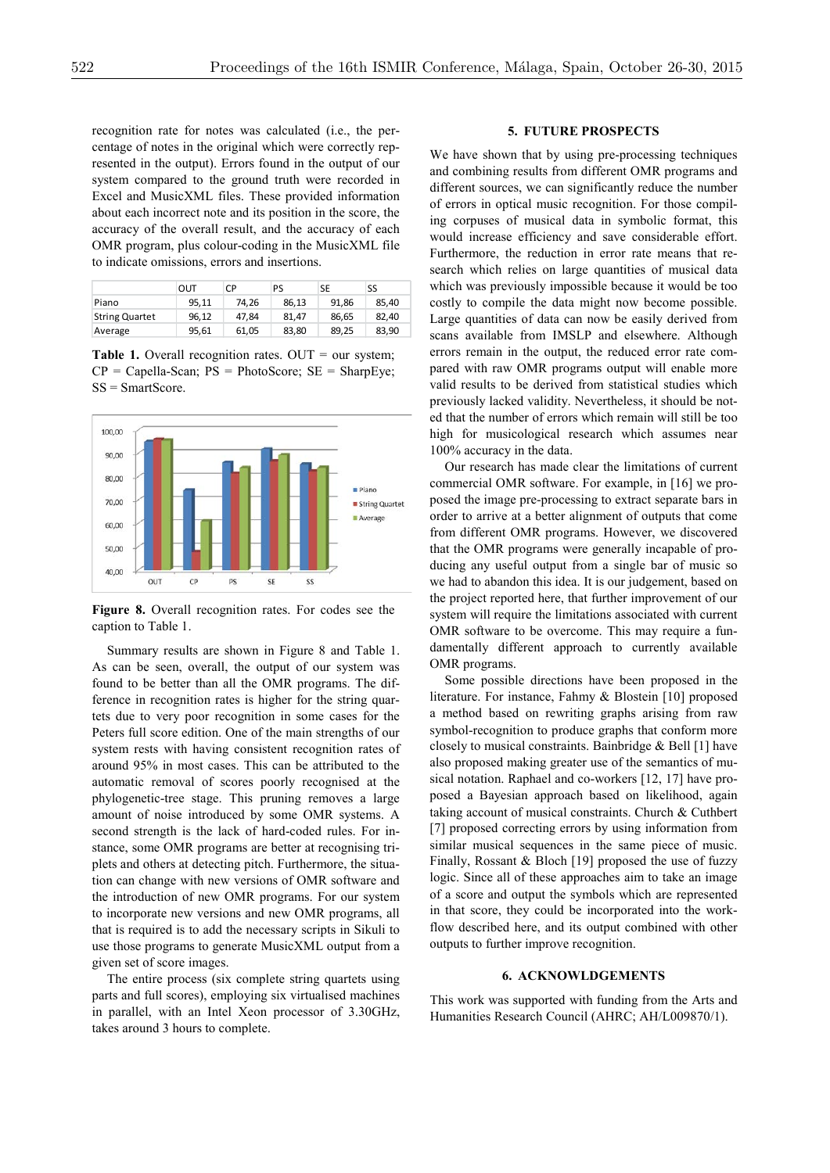recognition rate for notes was calculated (i.e., the percentage of notes in the original which were correctly represented in the output). Errors found in the output of our system compared to the ground truth were recorded in Excel and MusicXML files. These provided information about each incorrect note and its position in the score, the accuracy of the overall result, and the accuracy of each OMR program, plus colour-coding in the MusicXML file to indicate omissions, errors and insertions.

|                       | OUT   | СP    | PS    | SE    | SS    |
|-----------------------|-------|-------|-------|-------|-------|
| Piano                 | 95.11 | 74.26 | 86.13 | 91.86 | 85.40 |
| <b>String Quartet</b> | 96.12 | 47.84 | 81.47 | 86.65 | 82.40 |
| Average               | 95.61 | 61.05 | 83,80 | 89,25 | 83.90 |

Table 1. Overall recognition rates. OUT = our system;  $CP = Capella-Scan$ ;  $PS = PhotoScore$ ;  $SE = SharpEye$ ; SS = SmartScore.



**Figure 8.** Overall recognition rates. For codes see the caption to Table 1.

Summary results are shown in Figure 8 and Table 1. As can be seen, overall, the output of our system was found to be better than all the OMR programs. The difference in recognition rates is higher for the string quartets due to very poor recognition in some cases for the Peters full score edition. One of the main strengths of our system rests with having consistent recognition rates of around 95% in most cases. This can be attributed to the automatic removal of scores poorly recognised at the phylogenetic-tree stage. This pruning removes a large amount of noise introduced by some OMR systems. A second strength is the lack of hard-coded rules. For instance, some OMR programs are better at recognising triplets and others at detecting pitch. Furthermore, the situation can change with new versions of OMR software and the introduction of new OMR programs. For our system to incorporate new versions and new OMR programs, all that is required is to add the necessary scripts in Sikuli to use those programs to generate MusicXML output from a given set of score images.

The entire process (six complete string quartets using parts and full scores), employing six virtualised machines in parallel, with an Intel Xeon processor of 3.30GHz, takes around 3 hours to complete.

# **5. FUTURE PROSPECTS**

We have shown that by using pre-processing techniques and combining results from different OMR programs and different sources, we can significantly reduce the number of errors in optical music recognition. For those compiling corpuses of musical data in symbolic format, this would increase efficiency and save considerable effort. Furthermore, the reduction in error rate means that research which relies on large quantities of musical data which was previously impossible because it would be too costly to compile the data might now become possible. Large quantities of data can now be easily derived from scans available from IMSLP and elsewhere. Although errors remain in the output, the reduced error rate compared with raw OMR programs output will enable more valid results to be derived from statistical studies which previously lacked validity. Nevertheless, it should be noted that the number of errors which remain will still be too high for musicological research which assumes near 100% accuracy in the data.

Our research has made clear the limitations of current commercial OMR software. For example, in [16] we proposed the image pre-processing to extract separate bars in order to arrive at a better alignment of outputs that come from different OMR programs. However, we discovered that the OMR programs were generally incapable of producing any useful output from a single bar of music so we had to abandon this idea. It is our judgement, based on the project reported here, that further improvement of our system will require the limitations associated with current OMR software to be overcome. This may require a fundamentally different approach to currently available OMR programs.

Some possible directions have been proposed in the literature. For instance, Fahmy & Blostein [10] proposed a method based on rewriting graphs arising from raw symbol-recognition to produce graphs that conform more closely to musical constraints. Bainbridge & Bell [1] have also proposed making greater use of the semantics of musical notation. Raphael and co-workers [12, 17] have proposed a Bayesian approach based on likelihood, again taking account of musical constraints. Church & Cuthbert [7] proposed correcting errors by using information from similar musical sequences in the same piece of music. Finally, Rossant & Bloch [19] proposed the use of fuzzy logic. Since all of these approaches aim to take an image of a score and output the symbols which are represented in that score, they could be incorporated into the workflow described here, and its output combined with other outputs to further improve recognition.

## **6. ACKNOWLDGEMENTS**

This work was supported with funding from the Arts and Humanities Research Council (AHRC; AH/L009870/1).